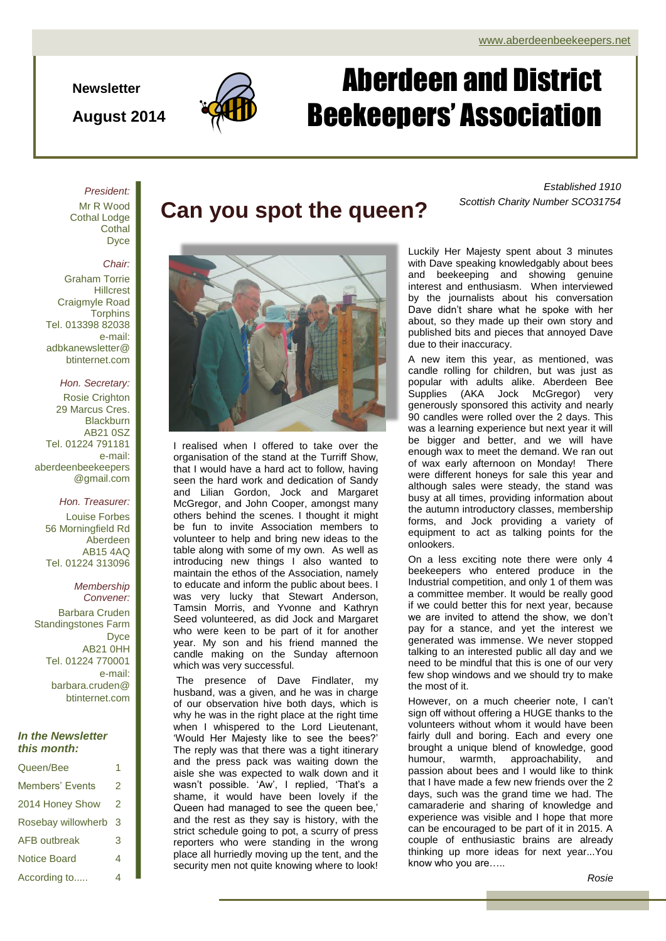**Newsletter**

**August 2014**



# Aberdeen and District Beekeepers' Association

*President:*

Mr R Wood Cothal Lodge **Cothal D**vce

#### *Chair:*

Graham Torrie **Hillcrest** Craigmyle Road **Torphins** Tel. 013398 82038 e-mail: adbkanewsletter@ btinternet.com

#### *Hon. Secretary:*

Rosie Crighton 29 Marcus Cres. **Blackburn** AB21 0SZ Tel. 01224 791181 e-mail: aberdeenbeekeepers @gmail.com

#### *Hon. Treasurer:* Louise Forbes

56 Morningfield Rd Aberdeen AB15 4AQ Tel. 01224 313096

*Membership Convener:* Barbara Cruden Standingstones Farm Dyce AB21 0HH Tel. 01224 770001 e-mail: barbara.cruden@ btinternet.com

#### *In the Newsletter this month:*

| Queen/Bee           |   |  |
|---------------------|---|--|
| Members' Events     | 2 |  |
| 2014 Honey Show     | 2 |  |
| Rosebay willowherb  | 3 |  |
| <b>AFB</b> outbreak | 3 |  |
| <b>Notice Board</b> | 4 |  |
| According to        | 4 |  |

I realised when I offered to take over the organisation of the stand at the Turriff Show, that I would have a hard act to follow, having seen the hard work and dedication of Sandy and Lilian Gordon, Jock and Margaret McGregor, and John Cooper, amongst many others behind the scenes. I thought it might be fun to invite Association members to volunteer to help and bring new ideas to the table along with some of my own. As well as introducing new things I also wanted to maintain the ethos of the Association, namely to educate and inform the public about bees. I was very lucky that Stewart Anderson, Tamsin Morris, and Yvonne and Kathryn Seed volunteered, as did Jock and Margaret who were keen to be part of it for another year. My son and his friend manned the candle making on the Sunday afternoon which was very successful.

The presence of Dave Findlater, my husband, was a given, and he was in charge of our observation hive both days, which is why he was in the right place at the right time when I whispered to the Lord Lieutenant, 'Would Her Majesty like to see the bees?' The reply was that there was a tight itinerary and the press pack was waiting down the aisle she was expected to walk down and it wasn't possible. 'Aw', I replied, 'That's a shame, it would have been lovely if the Queen had managed to see the queen bee,' and the rest as they say is history, with the strict schedule going to pot, a scurry of press reporters who were standing in the wrong place all hurriedly moving up the tent, and the security men not quite knowing where to look!

*Established 1910* Can you spot the queen? Scottish Charity Number SCO31754

> Luckily Her Majesty spent about 3 minutes with Dave speaking knowledgably about bees and beekeeping and showing genuine interest and enthusiasm. When interviewed by the journalists about his conversation Dave didn't share what he spoke with her about, so they made up their own story and published bits and pieces that annoyed Dave due to their inaccuracy.

> A new item this year, as mentioned, was candle rolling for children, but was just as popular with adults alike. Aberdeen Bee Supplies (AKA Jock McGregor) very generously sponsored this activity and nearly 90 candles were rolled over the 2 days. This was a learning experience but next year it will be bigger and better, and we will have enough wax to meet the demand. We ran out of wax early afternoon on Monday! There were different honeys for sale this year and although sales were steady, the stand was busy at all times, providing information about the autumn introductory classes, membership forms, and Jock providing a variety of equipment to act as talking points for the onlookers.

> On a less exciting note there were only 4 beekeepers who entered produce in the Industrial competition, and only 1 of them was a committee member. It would be really good if we could better this for next year, because we are invited to attend the show, we don't pay for a stance, and yet the interest we generated was immense. We never stopped talking to an interested public all day and we need to be mindful that this is one of our very few shop windows and we should try to make the most of it.

> However, on a much cheerier note, I can't sign off without offering a HUGE thanks to the volunteers without whom it would have been fairly dull and boring. Each and every one brought a unique blend of knowledge, good humour, warmth, approachability, and passion about bees and I would like to think that I have made a few new friends over the 2 days, such was the grand time we had. The camaraderie and sharing of knowledge and experience was visible and I hope that more can be encouraged to be part of it in 2015. A couple of enthusiastic brains are already thinking up more ideas for next year...You know who you are…..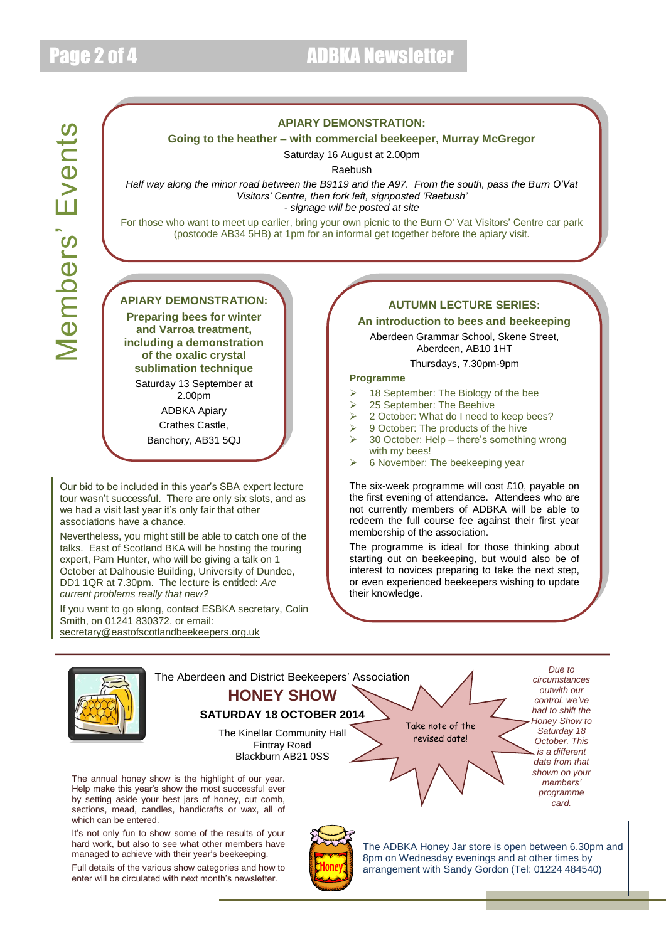# **Vembers' Events** Members' Events

#### **APIARY DEMONSTRATION:**

#### **Going to the heather – with commercial beekeeper, Murray McGregor**

Saturday 16 August at 2.00pm

Raebush

*Half way along the minor road between the B9119 and the A97. From the south, pass the Burn O'Vat Visitors' Centre, then fork left, signposted 'Raebush'*

*- signage will be posted at site*

For those who want to meet up earlier, bring your own picnic to the Burn O' Vat Visitors' Centre car park (postcode AB34 5HB) at 1pm for an informal get together before the apiary visit.

### **APIARY DEMONSTRATION:**

**Preparing bees for winter and Varroa treatment, including a demonstration of the oxalic crystal sublimation technique**

Saturday 13 September at 2.00pm

ADBKA Apiary Crathes Castle,

Banchory, AB31 5QJ

Our bid to be included in this year's SBA expert lecture tour wasn't successful. There are only six slots, and as we had a visit last year it's only fair that other associations have a chance.

Nevertheless, you might still be able to catch one of the talks. East of Scotland BKA will be hosting the touring expert, Pam Hunter, who will be giving a talk on 1 October at Dalhousie Building, University of Dundee, DD1 1QR at 7.30pm. The lecture is entitled: *Are current problems really that new?*

If you want to go along, contact ESBKA secretary, Colin Smith, on 01241 830372, or email: [secretary@eastofscotlandbeekeepers.org.uk](mailto:secretary@eastofscotlandbeekeepers.org.uk)

#### **AUTUMN LECTURE SERIES:**

#### **An introduction to bees and beekeeping**

Aberdeen Grammar School, Skene Street, Aberdeen, AB10 1HT

#### Thursdays, 7.30pm-9pm

#### **Programme**

- 18 September: The Biology of the bee
- 25 September: The Beehive
- 2 October: What do I need to keep bees?
- 9 October: The products of the hive
- 30 October: Help there's something wrong with my bees!
- $\geq$  6 November: The beekeeping year

The six-week programme will cost £10, payable on the first evening of attendance. Attendees who are not currently members of ADBKA will be able to redeem the full course fee against their first year membership of the association.

The programme is ideal for those thinking about starting out on beekeeping, but would also be of interest to novices preparing to take the next step, or even experienced beekeepers wishing to update their knowledge.



Full details of the various show categories and how to enter will be circulated with next month's newsletter.

arrangement with Sandy Gordon (Tel: 01224 484540)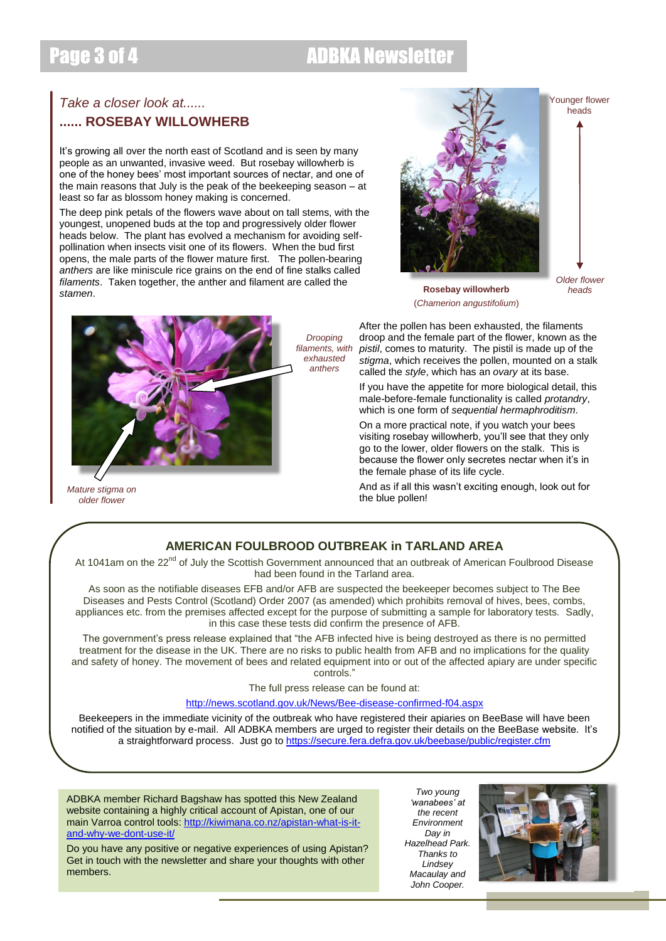## Page 3 of 4 ADBKA Newsletter

## *Take a closer look at......* **...... ROSEBAY WILLOWHERB**

It's growing all over the north east of Scotland and is seen by many people as an unwanted, invasive weed. But rosebay willowherb is one of the honey bees' most important sources of nectar, and one of the main reasons that July is the peak of the beekeeping season – at least so far as blossom honey making is concerned.

The deep pink petals of the flowers wave about on tall stems, with the youngest, unopened buds at the top and progressively older flower heads below. The plant has evolved a mechanism for avoiding selfpollination when insects visit one of its flowers. When the bud first opens, the male parts of the flower mature first. The pollen-bearing *anthers* are like miniscule rice grains on the end of fine stalks called *filaments*. Taken together, the anther and filament are called the *stamen*.



Younger flower heads

*Older flower heads*





*Mature stigma on older flower*

After the pollen has been exhausted, the filaments droop and the female part of the flower, known as the *pistil*, comes to maturity. The pistil is made up of the *stigma*, which receives the pollen, mounted on a stalk called the *style*, which has an *ovary* at its base.

If you have the appetite for more biological detail, this male-before-female functionality is called *protandry*, which is one form of *sequential hermaphroditism*.

On a more practical note, if you watch your bees visiting rosebay willowherb, you'll see that they only go to the lower, older flowers on the stalk. This is because the flower only secretes nectar when it's in the female phase of its life cycle.

And as if all this wasn't exciting enough, look out for the blue pollen!

## **AMERICAN FOULBROOD OUTBREAK in TARLAND AREA**

*Drooping filaments, with exhausted anthers*

At 1041am on the 22<sup>nd</sup> of July the Scottish Government announced that an outbreak of American Foulbrood Disease had been found in the Tarland area.

As soon as the notifiable diseases EFB and/or AFB are suspected the beekeeper becomes subject to The Bee Diseases and Pests Control (Scotland) Order 2007 (as amended) which prohibits removal of hives, bees, combs, appliances etc. from the premises affected except for the purpose of submitting a sample for laboratory tests. Sadly, in this case these tests did confirm the presence of AFB.

The government's press release explained that "the AFB infected hive is being destroyed as there is no permitted treatment for the disease in the UK. There are no risks to public health from AFB and no implications for the quality and safety of honey. The movement of bees and related equipment into or out of the affected apiary are under specific controls."

The full press release can be found at:

#### <http://news.scotland.gov.uk/News/Bee-disease-confirmed-f04.aspx>

Beekeepers in the immediate vicinity of the outbreak who have registered their apiaries on BeeBase will have been notified of the situation by e-mail. All ADBKA members are urged to register their details on the BeeBase website. It's a straightforward process. Just go to<https://secure.fera.defra.gov.uk/beebase/public/register.cfm>

ADBKA member Richard Bagshaw has spotted this New Zealand website containing a highly critical account of Apistan, one of our main Varroa control tools[: http://kiwimana.co.nz/apistan-what-is-it](http://kiwimana.co.nz/apistan-what-is-it-and-why-we-dont-use-it/)[and-why-we-dont-use-it/](http://kiwimana.co.nz/apistan-what-is-it-and-why-we-dont-use-it/)

Do you have any positive or negative experiences of using Apistan? Get in touch with the newsletter and share your thoughts with other members.

*Two young 'wanabees' at the recent Environment Day in Hazelhead Park. Thanks to Lindsey Macaulay and John Cooper.*